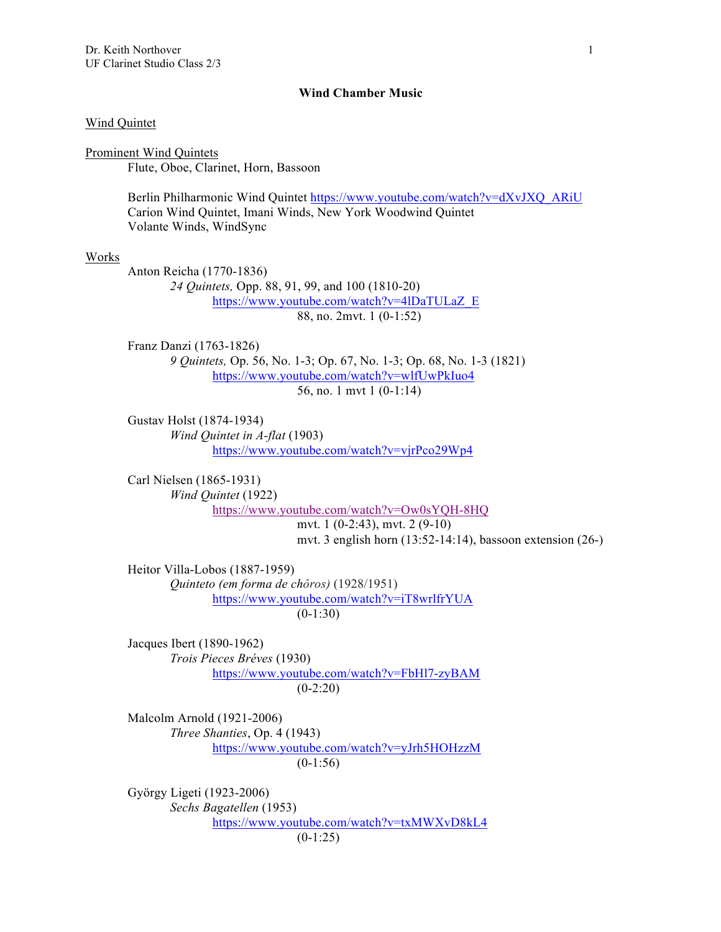## **Wind Chamber Music**

## Wind Quintet

Prominent Wind Quintets Flute, Oboe, Clarinet, Horn, Bassoon

> Berlin Philharmonic Wind Quintet https://www.youtube.com/watch?v=dXvJXQ\_ARiU Carion Wind Quintet, Imani Winds, New York Woodwind Quintet Volante Winds, WindSync

#### Works

Anton Reicha (1770-1836) *24 Quintets,* Opp. 88, 91, 99, and 100 (1810-20) https://www.youtube.com/watch?v=4lDaTULaZ\_E 88, no. 2mvt. 1 (0-1:52)

Franz Danzi (1763-1826) *9 Quintets,* Op. 56, No. 1-3; Op. 67, No. 1-3; Op. 68, No. 1-3 (1821) https://www.youtube.com/watch?v=wlfUwPkIuo4 56, no. 1 mvt 1 (0-1:14)

Gustav Holst (1874-1934) *Wind Quintet in A-flat* (1903) https://www.youtube.com/watch?v=vjrPco29Wp4

Carl Nielsen (1865-1931) *Wind Quintet* (1922) https://www.youtube.com/watch?v=Ow0sYQH-8HQ mvt. 1 (0-2:43), mvt. 2 (9-10)

mvt. 3 english horn (13:52-14:14), bassoon extension (26-)

Heitor Villa-Lobos (1887-1959) *Quinteto (em forma de chôros)* (1928/1951) https://www.youtube.com/watch?v=iT8wrlfrYUA  $(0-1:30)$ 

Jacques Ibert (1890-1962) *Trois Pieces Bréves* (1930) https://www.youtube.com/watch?v=FbHl7-zyBAM  $(0-2:20)$ 

Malcolm Arnold (1921-2006) *Three Shanties*, Op. 4 (1943) https://www.youtube.com/watch?v=yJrh5HOHzzM  $(0-1:56)$ 

György Ligeti (1923-2006) *Sechs Bagatellen* (1953) https://www.youtube.com/watch?v=txMWXvD8kL4  $(0-1:25)$